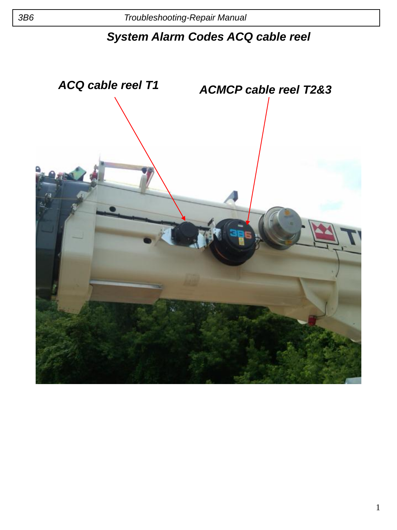## *System Alarm Codes ACQ cable reel*

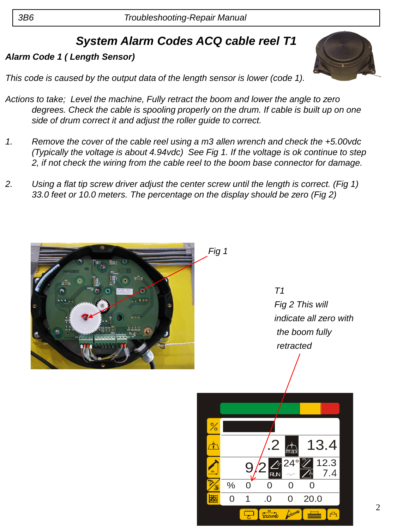# *System Alarm Codes ACQ cable reel T1*

#### *Alarm Code 1 ( Length Sensor)*

*This code is caused by the output data of the length sensor is lower (code 1).*

- *Actions to take; Level the machine, Fully retract the boom and lower the angle to zero degrees. Check the cable is spooling properly on the drum. If cable is built up on one side of drum correct it and adjust the roller guide to correct.*
- *1. Remove the cover of the cable reel using a m3 allen wrench and check the +5.00vdc (Typically the voltage is about 4.94vdc) See Fig 1. If the voltage is ok continue to step 2, if not check the wiring from the cable reel to the boom base connector for damage.*
- *2. Using a flat tip screw driver adjust the center screw until the length is correct. (Fig 1) 33.0 feet or 10.0 meters. The percentage on the display should be zero (Fig 2)*



*T1 Fig 2 This will indicate all zero with the boom fully retracted*